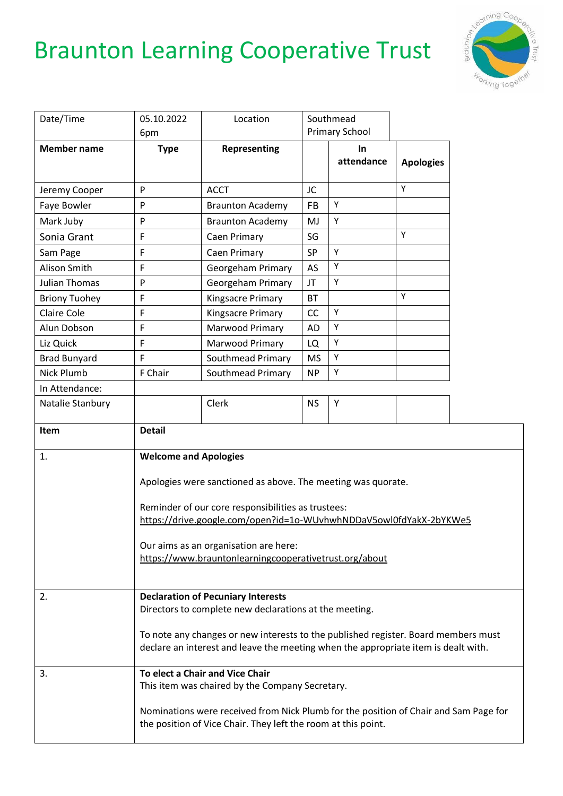## Braunton Learning Cooperative Trust



|                      | 05.10.2022                                                                                          |                                                                                                                                                                          |           | Southmead        |                  |  |
|----------------------|-----------------------------------------------------------------------------------------------------|--------------------------------------------------------------------------------------------------------------------------------------------------------------------------|-----------|------------------|------------------|--|
| Date/Time            |                                                                                                     | Location                                                                                                                                                                 |           | Primary School   |                  |  |
|                      | 6pm                                                                                                 |                                                                                                                                                                          |           |                  |                  |  |
| <b>Member name</b>   | <b>Type</b>                                                                                         | Representing                                                                                                                                                             |           | In<br>attendance | <b>Apologies</b> |  |
| Jeremy Cooper        | P                                                                                                   | <b>ACCT</b>                                                                                                                                                              | JC        |                  | Υ                |  |
| Faye Bowler          | P                                                                                                   | <b>Braunton Academy</b>                                                                                                                                                  | <b>FB</b> | Υ                |                  |  |
| Mark Juby            | P                                                                                                   | <b>Braunton Academy</b>                                                                                                                                                  | MJ        | Υ                |                  |  |
| Sonia Grant          | F                                                                                                   | Caen Primary                                                                                                                                                             | SG        |                  | Υ                |  |
| Sam Page             | F                                                                                                   | <b>Caen Primary</b>                                                                                                                                                      | SP        | Υ                |                  |  |
| Alison Smith         | F                                                                                                   | Georgeham Primary                                                                                                                                                        | AS        | Υ                |                  |  |
| <b>Julian Thomas</b> | P                                                                                                   | Georgeham Primary                                                                                                                                                        | JT        | Υ                |                  |  |
| <b>Briony Tuohey</b> | F                                                                                                   | Kingsacre Primary                                                                                                                                                        | <b>BT</b> |                  | Υ                |  |
| <b>Claire Cole</b>   | F                                                                                                   | Kingsacre Primary                                                                                                                                                        | CC        | Υ                |                  |  |
| Alun Dobson          | F                                                                                                   | Marwood Primary                                                                                                                                                          | <b>AD</b> | Υ                |                  |  |
| Liz Quick            | F                                                                                                   | Marwood Primary                                                                                                                                                          | LQ        | Υ                |                  |  |
| <b>Brad Bunyard</b>  | F                                                                                                   | Southmead Primary                                                                                                                                                        | <b>MS</b> | Υ                |                  |  |
| Nick Plumb           | F Chair                                                                                             | Southmead Primary                                                                                                                                                        | <b>NP</b> | Υ                |                  |  |
| In Attendance:       |                                                                                                     |                                                                                                                                                                          |           |                  |                  |  |
| Natalie Stanbury     |                                                                                                     | Clerk                                                                                                                                                                    | <b>NS</b> | Υ                |                  |  |
| Item                 | <b>Detail</b>                                                                                       |                                                                                                                                                                          |           |                  |                  |  |
| 1.                   | <b>Welcome and Apologies</b>                                                                        |                                                                                                                                                                          |           |                  |                  |  |
|                      |                                                                                                     |                                                                                                                                                                          |           |                  |                  |  |
|                      |                                                                                                     | Apologies were sanctioned as above. The meeting was quorate.                                                                                                             |           |                  |                  |  |
|                      |                                                                                                     | Reminder of our core responsibilities as trustees:                                                                                                                       |           |                  |                  |  |
|                      |                                                                                                     | https://drive.google.com/open?id=1o-WUvhwhNDDaV5owl0fdYakX-2bYKWe5                                                                                                       |           |                  |                  |  |
|                      | Our aims as an organisation are here:<br>https://www.brauntonlearningcooperativetrust.org/about     |                                                                                                                                                                          |           |                  |                  |  |
|                      |                                                                                                     |                                                                                                                                                                          |           |                  |                  |  |
|                      |                                                                                                     |                                                                                                                                                                          |           |                  |                  |  |
|                      |                                                                                                     |                                                                                                                                                                          |           |                  |                  |  |
| 2.                   | <b>Declaration of Pecuniary Interests</b><br>Directors to complete new declarations at the meeting. |                                                                                                                                                                          |           |                  |                  |  |
|                      |                                                                                                     |                                                                                                                                                                          |           |                  |                  |  |
|                      |                                                                                                     | To note any changes or new interests to the published register. Board members must<br>declare an interest and leave the meeting when the appropriate item is dealt with. |           |                  |                  |  |
|                      |                                                                                                     |                                                                                                                                                                          |           |                  |                  |  |
|                      |                                                                                                     |                                                                                                                                                                          |           |                  |                  |  |
| 3.                   |                                                                                                     | To elect a Chair and Vice Chair                                                                                                                                          |           |                  |                  |  |
|                      |                                                                                                     | This item was chaired by the Company Secretary.                                                                                                                          |           |                  |                  |  |
|                      |                                                                                                     |                                                                                                                                                                          |           |                  |                  |  |
|                      |                                                                                                     | Nominations were received from Nick Plumb for the position of Chair and Sam Page for<br>the position of Vice Chair. They left the room at this point.                    |           |                  |                  |  |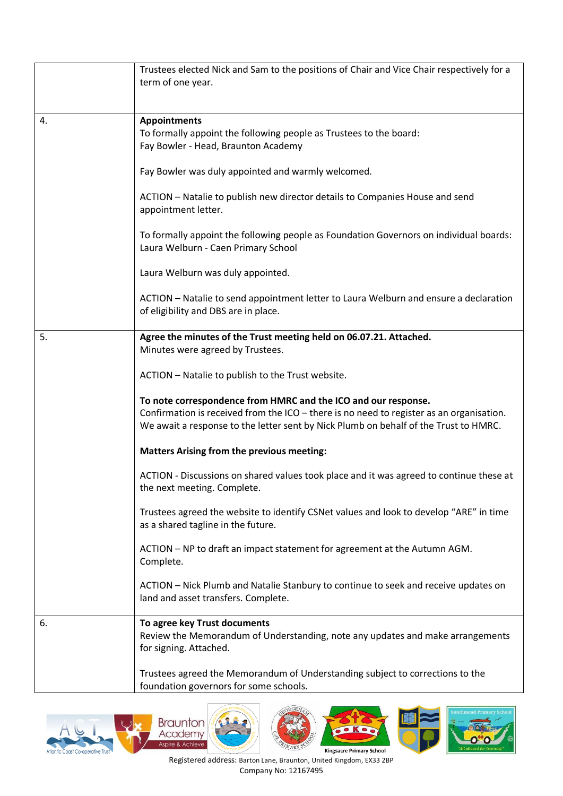|    | Trustees elected Nick and Sam to the positions of Chair and Vice Chair respectively for a<br>term of one year.                                                                                                                                     |
|----|----------------------------------------------------------------------------------------------------------------------------------------------------------------------------------------------------------------------------------------------------|
| 4. | <b>Appointments</b><br>To formally appoint the following people as Trustees to the board:<br>Fay Bowler - Head, Braunton Academy                                                                                                                   |
|    | Fay Bowler was duly appointed and warmly welcomed.                                                                                                                                                                                                 |
|    | ACTION - Natalie to publish new director details to Companies House and send<br>appointment letter.                                                                                                                                                |
|    | To formally appoint the following people as Foundation Governors on individual boards:<br>Laura Welburn - Caen Primary School                                                                                                                      |
|    | Laura Welburn was duly appointed.                                                                                                                                                                                                                  |
|    | ACTION - Natalie to send appointment letter to Laura Welburn and ensure a declaration<br>of eligibility and DBS are in place.                                                                                                                      |
| 5. | Agree the minutes of the Trust meeting held on 06.07.21. Attached.<br>Minutes were agreed by Trustees.                                                                                                                                             |
|    | ACTION - Natalie to publish to the Trust website.                                                                                                                                                                                                  |
|    | To note correspondence from HMRC and the ICO and our response.<br>Confirmation is received from the ICO - there is no need to register as an organisation.<br>We await a response to the letter sent by Nick Plumb on behalf of the Trust to HMRC. |
|    | <b>Matters Arising from the previous meeting:</b>                                                                                                                                                                                                  |
|    | ACTION - Discussions on shared values took place and it was agreed to continue these at<br>the next meeting. Complete.                                                                                                                             |
|    | Trustees agreed the website to identify CSNet values and look to develop "ARE" in time<br>as a shared tagline in the future.                                                                                                                       |
|    | ACTION - NP to draft an impact statement for agreement at the Autumn AGM.<br>Complete.                                                                                                                                                             |
|    | ACTION - Nick Plumb and Natalie Stanbury to continue to seek and receive updates on<br>land and asset transfers. Complete.                                                                                                                         |
| 6. | To agree key Trust documents<br>Review the Memorandum of Understanding, note any updates and make arrangements<br>for signing. Attached.                                                                                                           |
|    | Trustees agreed the Memorandum of Understanding subject to corrections to the<br>foundation governors for some schools.                                                                                                                            |





 $\bullet$  Ko **Kingsacre Primary School** 



Registered address: Barton Lane, Braunton, United Kingdom, EX33 2BP Company No: 12167495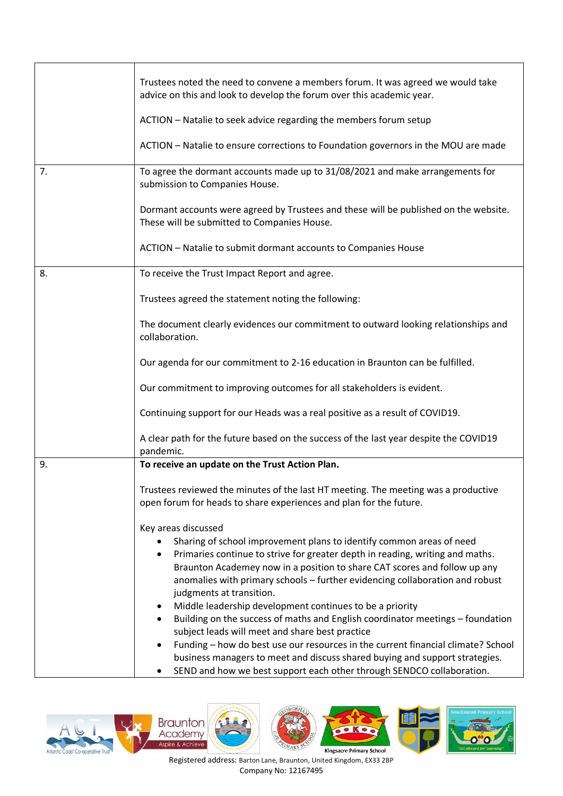|    | Trustees noted the need to convene a members forum. It was agreed we would take<br>advice on this and look to develop the forum over this academic year.                                                                                                                                                                                            |
|----|-----------------------------------------------------------------------------------------------------------------------------------------------------------------------------------------------------------------------------------------------------------------------------------------------------------------------------------------------------|
|    | ACTION - Natalie to seek advice regarding the members forum setup                                                                                                                                                                                                                                                                                   |
|    | ACTION - Natalie to ensure corrections to Foundation governors in the MOU are made                                                                                                                                                                                                                                                                  |
| 7. | To agree the dormant accounts made up to 31/08/2021 and make arrangements for<br>submission to Companies House.                                                                                                                                                                                                                                     |
|    | Dormant accounts were agreed by Trustees and these will be published on the website.<br>These will be submitted to Companies House.                                                                                                                                                                                                                 |
|    | ACTION - Natalie to submit dormant accounts to Companies House                                                                                                                                                                                                                                                                                      |
| 8. | To receive the Trust Impact Report and agree.                                                                                                                                                                                                                                                                                                       |
|    | Trustees agreed the statement noting the following:                                                                                                                                                                                                                                                                                                 |
|    | The document clearly evidences our commitment to outward looking relationships and<br>collaboration.                                                                                                                                                                                                                                                |
|    | Our agenda for our commitment to 2-16 education in Braunton can be fulfilled.                                                                                                                                                                                                                                                                       |
|    | Our commitment to improving outcomes for all stakeholders is evident.                                                                                                                                                                                                                                                                               |
|    | Continuing support for our Heads was a real positive as a result of COVID19.                                                                                                                                                                                                                                                                        |
|    | A clear path for the future based on the success of the last year despite the COVID19<br>pandemic.                                                                                                                                                                                                                                                  |
| 9. | To receive an update on the Trust Action Plan.                                                                                                                                                                                                                                                                                                      |
|    | Trustees reviewed the minutes of the last HT meeting. The meeting was a productive<br>open forum for heads to share experiences and plan for the future.                                                                                                                                                                                            |
|    | Key areas discussed                                                                                                                                                                                                                                                                                                                                 |
|    | Sharing of school improvement plans to identify common areas of need<br>Primaries continue to strive for greater depth in reading, writing and maths.<br>٠<br>Braunton Academey now in a position to share CAT scores and follow up any<br>anomalies with primary schools - further evidencing collaboration and robust<br>judgments at transition. |
|    | Middle leadership development continues to be a priority<br>٠<br>Building on the success of maths and English coordinator meetings - foundation<br>$\bullet$<br>subject leads will meet and share best practice                                                                                                                                     |
|    | Funding - how do best use our resources in the current financial climate? School<br>$\bullet$<br>business managers to meet and discuss shared buying and support strategies.<br>SEND and how we best support each other through SENDCO collaboration.                                                                                               |
|    |                                                                                                                                                                                                                                                                                                                                                     |







Registered address: Barton Lane, Braunton, United Kingdom, EX33 2BP Company No: 12167495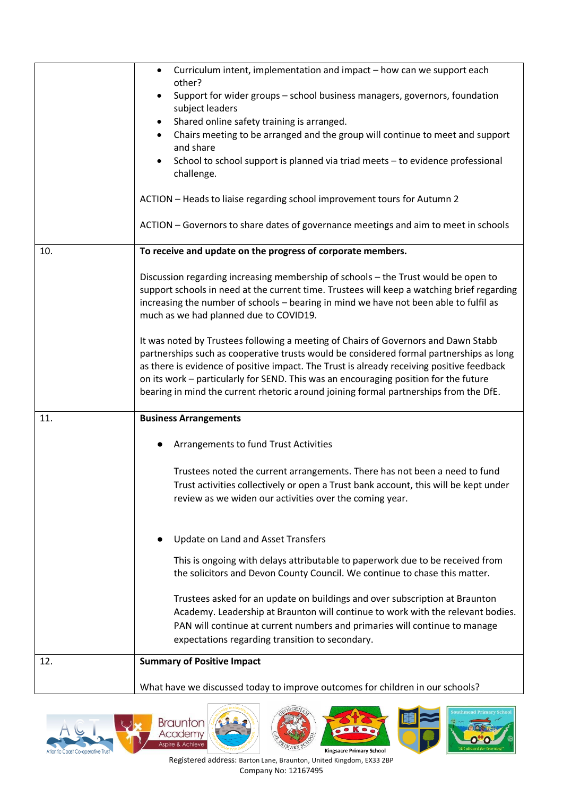|     | Curriculum intent, implementation and impact - how can we support each<br>$\bullet$<br>other?<br>Support for wider groups - school business managers, governors, foundation<br>subject leaders<br>Shared online safety training is arranged.<br>Chairs meeting to be arranged and the group will continue to meet and support<br>and share<br>School to school support is planned via triad meets - to evidence professional<br>challenge.<br>ACTION - Heads to liaise regarding school improvement tours for Autumn 2<br>ACTION - Governors to share dates of governance meetings and aim to meet in schools                                                                                                                                                                      |
|-----|------------------------------------------------------------------------------------------------------------------------------------------------------------------------------------------------------------------------------------------------------------------------------------------------------------------------------------------------------------------------------------------------------------------------------------------------------------------------------------------------------------------------------------------------------------------------------------------------------------------------------------------------------------------------------------------------------------------------------------------------------------------------------------|
| 10. | To receive and update on the progress of corporate members.                                                                                                                                                                                                                                                                                                                                                                                                                                                                                                                                                                                                                                                                                                                        |
|     | Discussion regarding increasing membership of schools - the Trust would be open to<br>support schools in need at the current time. Trustees will keep a watching brief regarding<br>increasing the number of schools - bearing in mind we have not been able to fulfil as<br>much as we had planned due to COVID19.<br>It was noted by Trustees following a meeting of Chairs of Governors and Dawn Stabb<br>partnerships such as cooperative trusts would be considered formal partnerships as long<br>as there is evidence of positive impact. The Trust is already receiving positive feedback<br>on its work - particularly for SEND. This was an encouraging position for the future<br>bearing in mind the current rhetoric around joining formal partnerships from the DfE. |
| 11. | <b>Business Arrangements</b>                                                                                                                                                                                                                                                                                                                                                                                                                                                                                                                                                                                                                                                                                                                                                       |
|     | Arrangements to fund Trust Activities<br>Trustees noted the current arrangements. There has not been a need to fund<br>Trust activities collectively or open a Trust bank account, this will be kept under<br>review as we widen our activities over the coming year.                                                                                                                                                                                                                                                                                                                                                                                                                                                                                                              |
|     | Update on Land and Asset Transfers<br>This is ongoing with delays attributable to paperwork due to be received from<br>the solicitors and Devon County Council. We continue to chase this matter.<br>Trustees asked for an update on buildings and over subscription at Braunton<br>Academy. Leadership at Braunton will continue to work with the relevant bodies.<br>PAN will continue at current numbers and primaries will continue to manage<br>expectations regarding transition to secondary.                                                                                                                                                                                                                                                                               |
| 12. | <b>Summary of Positive Impact</b>                                                                                                                                                                                                                                                                                                                                                                                                                                                                                                                                                                                                                                                                                                                                                  |
|     | What have we discussed today to improve outcomes for children in our schools?                                                                                                                                                                                                                                                                                                                                                                                                                                                                                                                                                                                                                                                                                                      |





 $\bullet$  Ko **Kingsacre Primary School** 



Registered address: Barton Lane, Braunton, United Kingdom, EX33 2BP Company No: 12167495